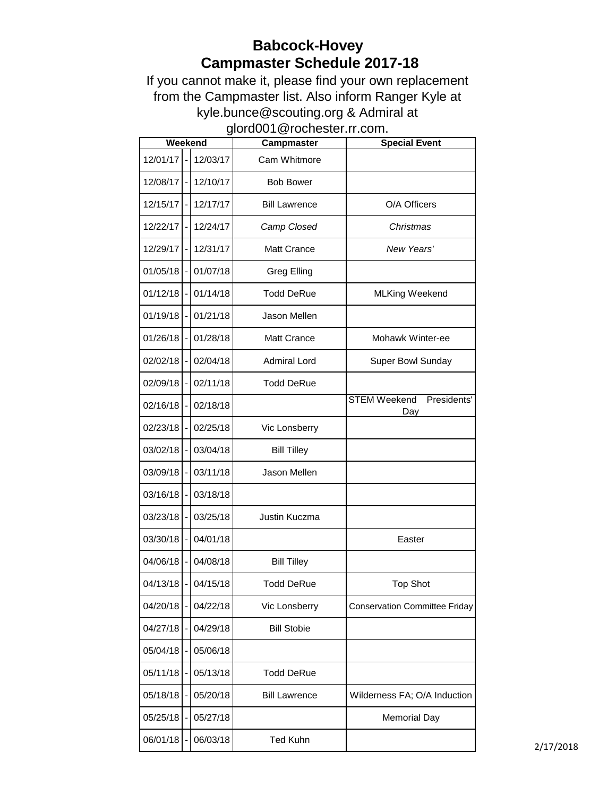## **Babcock-Hovey Campmaster Schedule 2017-18**

If you cannot make it, please find your own replacement from the Campmaster list. Also inform Ranger Kyle at kyle.bunce@scouting.org & Admiral at glord001@rochester.rr.com.

| Weekend  |  |          | <b>Campmaster</b>    | <b>Special Event</b>                      |
|----------|--|----------|----------------------|-------------------------------------------|
| 12/01/17 |  | 12/03/17 | Cam Whitmore         |                                           |
| 12/08/17 |  | 12/10/17 | <b>Bob Bower</b>     |                                           |
| 12/15/17 |  | 12/17/17 | <b>Bill Lawrence</b> | O/A Officers                              |
| 12/22/17 |  | 12/24/17 | Camp Closed          | Christmas                                 |
| 12/29/17 |  | 12/31/17 | <b>Matt Crance</b>   | New Years'                                |
| 01/05/18 |  | 01/07/18 | Greg Elling          |                                           |
| 01/12/18 |  | 01/14/18 | <b>Todd DeRue</b>    | <b>MLKing Weekend</b>                     |
| 01/19/18 |  | 01/21/18 | Jason Mellen         |                                           |
| 01/26/18 |  | 01/28/18 | <b>Matt Crance</b>   | Mohawk Winter-ee                          |
| 02/02/18 |  | 02/04/18 | <b>Admiral Lord</b>  | Super Bowl Sunday                         |
| 02/09/18 |  | 02/11/18 | <b>Todd DeRue</b>    |                                           |
| 02/16/18 |  | 02/18/18 |                      | <b>STEM Weekend</b><br>Presidents'<br>Day |
| 02/23/18 |  | 02/25/18 | Vic Lonsberry        |                                           |
| 03/02/18 |  | 03/04/18 | <b>Bill Tilley</b>   |                                           |
| 03/09/18 |  | 03/11/18 | Jason Mellen         |                                           |
| 03/16/18 |  | 03/18/18 |                      |                                           |
| 03/23/18 |  | 03/25/18 | Justin Kuczma        |                                           |
| 03/30/18 |  | 04/01/18 |                      | Easter                                    |
| 04/06/18 |  | 04/08/18 | <b>Bill Tilley</b>   |                                           |
| 04/13/18 |  | 04/15/18 | <b>Todd DeRue</b>    | <b>Top Shot</b>                           |
| 04/20/18 |  | 04/22/18 | Vic Lonsberry        | <b>Conservation Committee Friday</b>      |
| 04/27/18 |  | 04/29/18 | <b>Bill Stobie</b>   |                                           |
| 05/04/18 |  | 05/06/18 |                      |                                           |
| 05/11/18 |  | 05/13/18 | <b>Todd DeRue</b>    |                                           |
| 05/18/18 |  | 05/20/18 | <b>Bill Lawrence</b> | Wilderness FA; O/A Induction              |
| 05/25/18 |  | 05/27/18 |                      | <b>Memorial Day</b>                       |
| 06/01/18 |  | 06/03/18 | <b>Ted Kuhn</b>      |                                           |